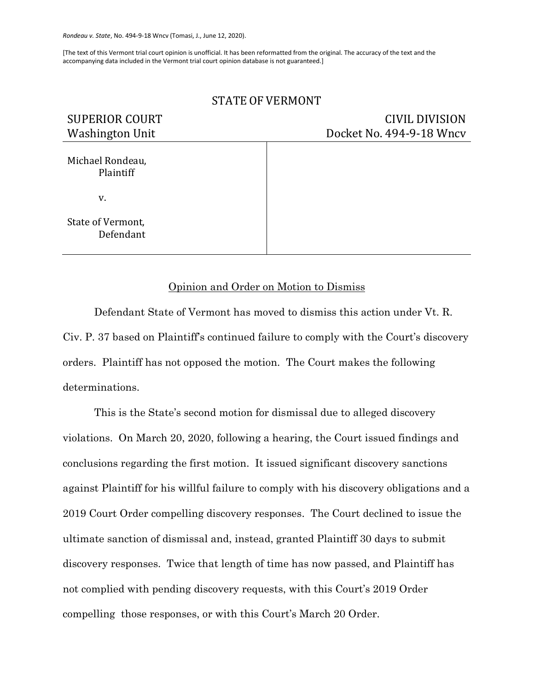*Rondeau v. State*, No. 494-9-18 Wncv (Tomasi, J., June 12, 2020).

[The text of this Vermont trial court opinion is unofficial. It has been reformatted from the original. The accuracy of the text and the accompanying data included in the Vermont trial court opinion database is not guaranteed.]

| STATE OF VERMONT               |                          |
|--------------------------------|--------------------------|
| <b>SUPERIOR COURT</b>          | <b>CIVIL DIVISION</b>    |
| Washington Unit                | Docket No. 494-9-18 Wncv |
| Michael Rondeau,<br>Plaintiff  |                          |
| V.                             |                          |
| State of Vermont,<br>Defendant |                          |

## STATE OF VERMONT

## Opinion and Order on Motion to Dismiss

Defendant State of Vermont has moved to dismiss this action under Vt. R. Civ. P. 37 based on Plaintiff's continued failure to comply with the Court's discovery orders. Plaintiff has not opposed the motion. The Court makes the following determinations.

This is the State's second motion for dismissal due to alleged discovery violations. On March 20, 2020, following a hearing, the Court issued findings and conclusions regarding the first motion. It issued significant discovery sanctions against Plaintiff for his willful failure to comply with his discovery obligations and a 2019 Court Order compelling discovery responses. The Court declined to issue the ultimate sanction of dismissal and, instead, granted Plaintiff 30 days to submit discovery responses. Twice that length of time has now passed, and Plaintiff has not complied with pending discovery requests, with this Court's 2019 Order compelling those responses, or with this Court's March 20 Order.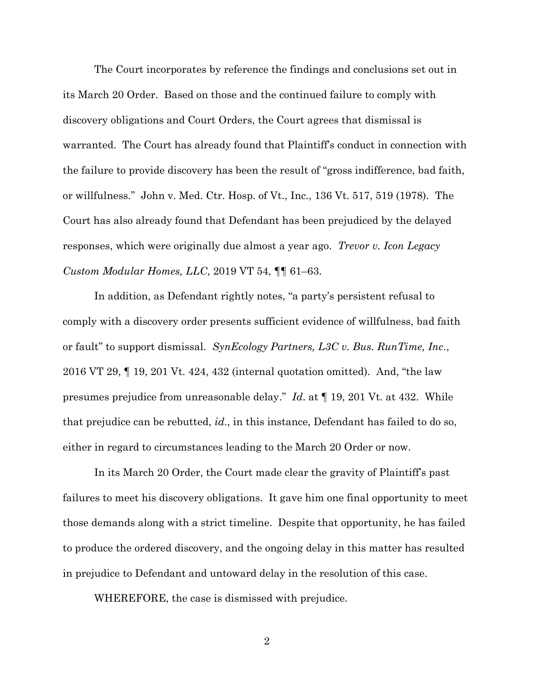The Court incorporates by reference the findings and conclusions set out in its March 20 Order. Based on those and the continued failure to comply with discovery obligations and Court Orders, the Court agrees that dismissal is warranted. The Court has already found that Plaintiff's conduct in connection with the failure to provide discovery has been the result of "gross indifference, bad faith, or willfulness." John v. Med. Ctr. Hosp. of Vt., Inc., 136 Vt. 517, 519 (1978). The Court has also already found that Defendant has been prejudiced by the delayed responses, which were originally due almost a year ago. *Trevor v. Icon Legacy Custom Modular Homes, LLC*, 2019 VT 54, ¶¶ 61–63.

In addition, as Defendant rightly notes, "a party's persistent refusal to comply with a discovery order presents sufficient evidence of willfulness, bad faith or fault" to support dismissal. *SynEcology Partners, L3C v. Bus. RunTime, Inc*., 2016 VT 29, ¶ 19, 201 Vt. 424, 432 (internal quotation omitted). And, "the law presumes prejudice from unreasonable delay." *Id*. at ¶ 19, 201 Vt. at 432. While that prejudice can be rebutted, *id*., in this instance, Defendant has failed to do so, either in regard to circumstances leading to the March 20 Order or now.

In its March 20 Order, the Court made clear the gravity of Plaintiff's past failures to meet his discovery obligations. It gave him one final opportunity to meet those demands along with a strict timeline. Despite that opportunity, he has failed to produce the ordered discovery, and the ongoing delay in this matter has resulted in prejudice to Defendant and untoward delay in the resolution of this case.

WHEREFORE, the case is dismissed with prejudice.

2